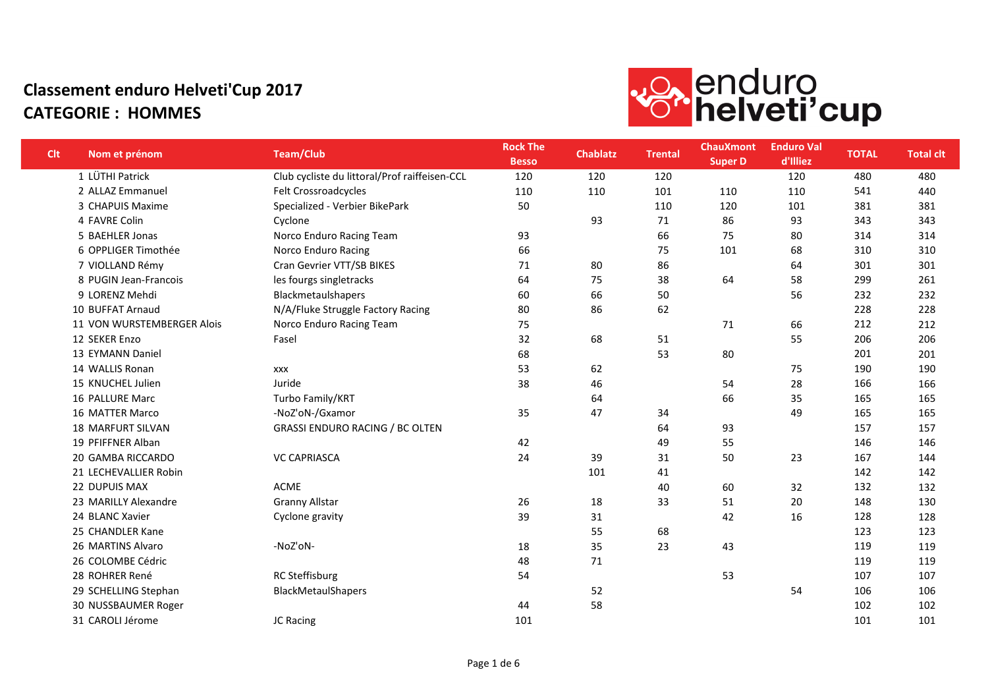

| <b>Clt</b> | Nom et prénom              | <b>Team/Club</b>                              | <b>Rock The</b><br><b>Besso</b> | <b>Chablatz</b> | <b>Trental</b> | <b>ChauXmont</b><br><b>Super D</b> | <b>Enduro Val</b><br>d'Illiez | <b>TOTAL</b> | <b>Total clt</b> |
|------------|----------------------------|-----------------------------------------------|---------------------------------|-----------------|----------------|------------------------------------|-------------------------------|--------------|------------------|
|            | 1 LÜTHI Patrick            | Club cycliste du littoral/Prof raiffeisen-CCL | 120                             | 120             | 120            |                                    | 120                           | 480          | 480              |
|            | 2 ALLAZ Emmanuel           | Felt Crossroadcycles                          | 110                             | 110             | 101            | 110                                | 110                           | 541          | 440              |
|            | 3 CHAPUIS Maxime           | Specialized - Verbier BikePark                | 50                              |                 | 110            | 120                                | 101                           | 381          | 381              |
|            | 4 FAVRE Colin              | Cyclone                                       |                                 | 93              | 71             | 86                                 | 93                            | 343          | 343              |
|            | 5 BAEHLER Jonas            | Norco Enduro Racing Team                      | 93                              |                 | 66             | 75                                 | 80                            | 314          | 314              |
|            | 6 OPPLIGER Timothée        | Norco Enduro Racing                           | 66                              |                 | 75             | 101                                | 68                            | 310          | 310              |
|            | 7 VIOLLAND Rémy            | Cran Gevrier VTT/SB BIKES                     | 71                              | 80              | 86             |                                    | 64                            | 301          | 301              |
|            | 8 PUGIN Jean-Francois      | les fourgs singletracks                       | 64                              | 75              | 38             | 64                                 | 58                            | 299          | 261              |
|            | 9 LORENZ Mehdi             | Blackmetaulshapers                            | 60                              | 66              | 50             |                                    | 56                            | 232          | 232              |
|            | 10 BUFFAT Arnaud           | N/A/Fluke Struggle Factory Racing             | 80                              | 86              | 62             |                                    |                               | 228          | 228              |
|            | 11 VON WURSTEMBERGER Alois | Norco Enduro Racing Team                      | 75                              |                 |                | 71                                 | 66                            | 212          | 212              |
|            | 12 SEKER Enzo              | Fasel                                         | 32                              | 68              | 51             |                                    | 55                            | 206          | 206              |
|            | 13 EYMANN Daniel           |                                               | 68                              |                 | 53             | 80                                 |                               | 201          | 201              |
|            | 14 WALLIS Ronan            | <b>XXX</b>                                    | 53                              | 62              |                |                                    | 75                            | 190          | 190              |
|            | 15 KNUCHEL Julien          | Juride                                        | 38                              | 46              |                | 54                                 | 28                            | 166          | 166              |
|            | 16 PALLURE Marc            | Turbo Family/KRT                              |                                 | 64              |                | 66                                 | 35                            | 165          | 165              |
|            | <b>16 MATTER Marco</b>     | -NoZ'oN-/Gxamor                               | 35                              | 47              | 34             |                                    | 49                            | 165          | 165              |
|            | <b>18 MARFURT SILVAN</b>   | <b>GRASSI ENDURO RACING / BC OLTEN</b>        |                                 |                 | 64             | 93                                 |                               | 157          | 157              |
|            | 19 PFIFFNER Alban          |                                               | 42                              |                 | 49             | 55                                 |                               | 146          | 146              |
|            | 20 GAMBA RICCARDO          | <b>VC CAPRIASCA</b>                           | 24                              | 39              | 31             | 50                                 | 23                            | 167          | 144              |
|            | 21 LECHEVALLIER Robin      |                                               |                                 | 101             | 41             |                                    |                               | 142          | 142              |
|            | 22 DUPUIS MAX              | <b>ACME</b>                                   |                                 |                 | 40             | 60                                 | 32                            | 132          | 132              |
|            | 23 MARILLY Alexandre       | <b>Granny Allstar</b>                         | 26                              | 18              | 33             | 51                                 | 20                            | 148          | 130              |
|            | 24 BLANC Xavier            | Cyclone gravity                               | 39                              | 31              |                | 42                                 | 16                            | 128          | 128              |
|            | 25 CHANDLER Kane           |                                               |                                 | 55              | 68             |                                    |                               | 123          | 123              |
|            | 26 MARTINS Alvaro          | -NoZ'oN-                                      | 18                              | 35              | 23             | 43                                 |                               | 119          | 119              |
|            | 26 COLOMBE Cédric          |                                               | 48                              | 71              |                |                                    |                               | 119          | 119              |
|            | 28 ROHRER René             | <b>RC Steffisburg</b>                         | 54                              |                 |                | 53                                 |                               | 107          | 107              |
|            | 29 SCHELLING Stephan       | BlackMetaulShapers                            |                                 | 52              |                |                                    | 54                            | 106          | 106              |
|            | 30 NUSSBAUMER Roger        |                                               | 44                              | 58              |                |                                    |                               | 102          | 102              |
|            | 31 CAROLI Jérome           | JC Racing                                     | 101                             |                 |                |                                    |                               | 101          | 101              |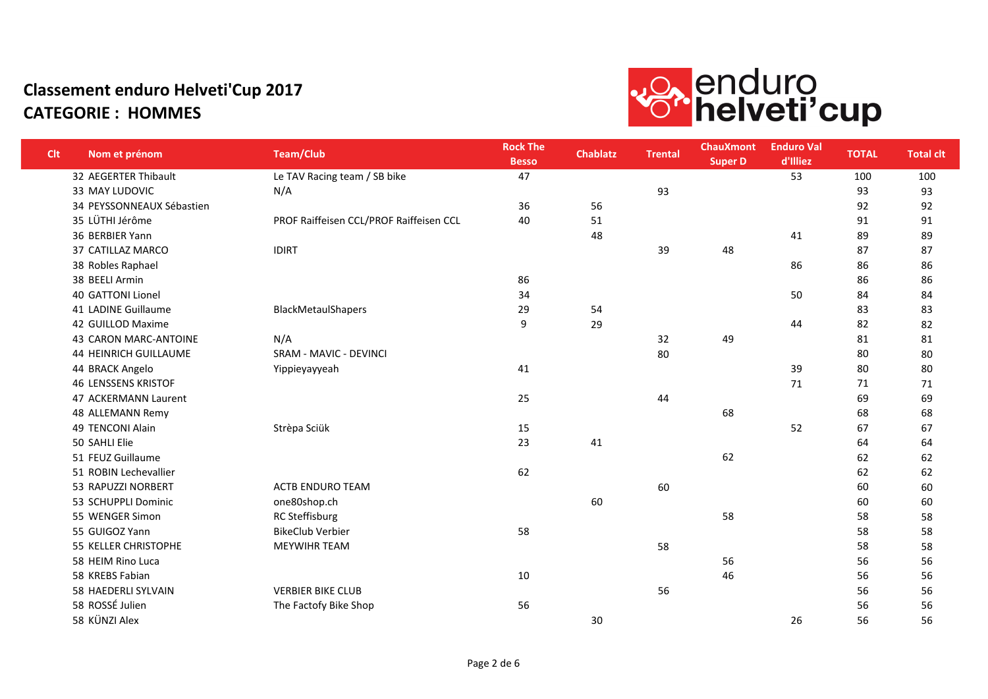

| <b>Clt</b> | Nom et prénom                | <b>Team/Club</b>                        | <b>Rock The</b><br><b>Besso</b> | <b>Chablatz</b> | <b>Trental</b> | <b>ChauXmont</b><br><b>Super D</b> | <b>Enduro Val</b><br>d'Illiez | <b>TOTAL</b> | <b>Total clt</b> |
|------------|------------------------------|-----------------------------------------|---------------------------------|-----------------|----------------|------------------------------------|-------------------------------|--------------|------------------|
|            | 32 AEGERTER Thibault         | Le TAV Racing team / SB bike            | 47                              |                 |                |                                    | 53                            | 100          | 100              |
|            | 33 MAY LUDOVIC               | N/A                                     |                                 |                 | 93             |                                    |                               | 93           | 93               |
|            | 34 PEYSSONNEAUX Sébastien    |                                         | 36                              | 56              |                |                                    |                               | 92           | 92               |
|            | 35 LÜTHI Jérôme              | PROF Raiffeisen CCL/PROF Raiffeisen CCL | 40                              | 51              |                |                                    |                               | 91           | 91               |
|            | 36 BERBIER Yann              |                                         |                                 | 48              |                |                                    | 41                            | 89           | 89               |
|            | 37 CATILLAZ MARCO            | <b>IDIRT</b>                            |                                 |                 | 39             | 48                                 |                               | 87           | 87               |
|            | 38 Robles Raphael            |                                         |                                 |                 |                |                                    | 86                            | 86           | 86               |
|            | 38 BEELI Armin               |                                         | 86                              |                 |                |                                    |                               | 86           | 86               |
|            | 40 GATTONI Lionel            |                                         | 34                              |                 |                |                                    | 50                            | 84           | 84               |
|            | 41 LADINE Guillaume          | BlackMetaulShapers                      | 29                              | 54              |                |                                    |                               | 83           | 83               |
|            | 42 GUILLOD Maxime            |                                         | 9                               | 29              |                |                                    | 44                            | 82           | 82               |
|            | 43 CARON MARC-ANTOINE        | N/A                                     |                                 |                 | 32             | 49                                 |                               | 81           | 81               |
|            | <b>44 HEINRICH GUILLAUME</b> | SRAM - MAVIC - DEVINCI                  |                                 |                 | 80             |                                    |                               | 80           | 80               |
|            | 44 BRACK Angelo              | Yippieyayyeah                           | 41                              |                 |                |                                    | 39                            | 80           | 80               |
|            | <b>46 LENSSENS KRISTOF</b>   |                                         |                                 |                 |                |                                    | 71                            | 71           | 71               |
|            | 47 ACKERMANN Laurent         |                                         | 25                              |                 | 44             |                                    |                               | 69           | 69               |
|            | 48 ALLEMANN Remy             |                                         |                                 |                 |                | 68                                 |                               | 68           | 68               |
|            | 49 TENCONI Alain             | Strèpa Sciük                            | 15                              |                 |                |                                    | 52                            | 67           | 67               |
|            | 50 SAHLI Elie                |                                         | 23                              | 41              |                |                                    |                               | 64           | 64               |
|            | 51 FEUZ Guillaume            |                                         |                                 |                 |                | 62                                 |                               | 62           | 62               |
|            | 51 ROBIN Lechevallier        |                                         | 62                              |                 |                |                                    |                               | 62           | 62               |
|            | 53 RAPUZZI NORBERT           | <b>ACTB ENDURO TEAM</b>                 |                                 |                 | 60             |                                    |                               | 60           | 60               |
|            | 53 SCHUPPLI Dominic          | one80shop.ch                            |                                 | 60              |                |                                    |                               | 60           | 60               |
|            | 55 WENGER Simon              | <b>RC Steffisburg</b>                   |                                 |                 |                | 58                                 |                               | 58           | 58               |
|            | 55 GUIGOZ Yann               | <b>BikeClub Verbier</b>                 | 58                              |                 |                |                                    |                               | 58           | 58               |
|            | 55 KELLER CHRISTOPHE         | MEYWIHR TEAM                            |                                 |                 | 58             |                                    |                               | 58           | 58               |
|            | 58 HEIM Rino Luca            |                                         |                                 |                 |                | 56                                 |                               | 56           | 56               |
|            | 58 KREBS Fabian              |                                         | 10                              |                 |                | 46                                 |                               | 56           | 56               |
|            | 58 HAEDERLI SYLVAIN          | <b>VERBIER BIKE CLUB</b>                |                                 |                 | 56             |                                    |                               | 56           | 56               |
|            | 58 ROSSÉ Julien              | The Factofy Bike Shop                   | 56                              |                 |                |                                    |                               | 56           | 56               |
|            | 58 KÜNZI Alex                |                                         |                                 | 30              |                |                                    | 26                            | 56           | 56               |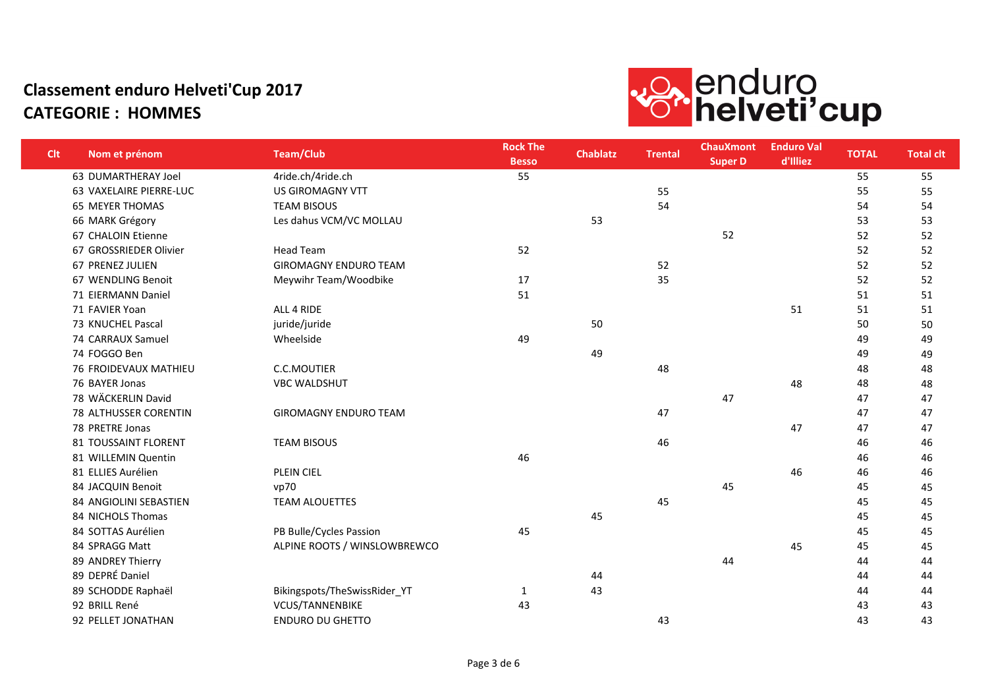

| <b>Clt</b> | Nom et prénom                | <b>Team/Club</b>             | <b>Rock The</b><br><b>Besso</b> | <b>Chablatz</b> | <b>Trental</b> | <b>ChauXmont</b><br>Super D | <b>Enduro Val</b><br>d'Illiez | <b>TOTAL</b> | <b>Total clt</b> |
|------------|------------------------------|------------------------------|---------------------------------|-----------------|----------------|-----------------------------|-------------------------------|--------------|------------------|
|            | 63 DUMARTHERAY Joel          | 4ride.ch/4ride.ch            | 55                              |                 |                |                             |                               | 55           | 55               |
|            | 63 VAXELAIRE PIERRE-LUC      | <b>US GIROMAGNY VTT</b>      |                                 |                 | 55             |                             |                               | 55           | 55               |
|            | <b>65 MEYER THOMAS</b>       | <b>TEAM BISOUS</b>           |                                 |                 | 54             |                             |                               | 54           | 54               |
|            | 66 MARK Grégory              | Les dahus VCM/VC MOLLAU      |                                 | 53              |                |                             |                               | 53           | 53               |
|            | 67 CHALOIN Etienne           |                              |                                 |                 |                | 52                          |                               | 52           | 52               |
|            | 67 GROSSRIEDER Olivier       | <b>Head Team</b>             | 52                              |                 |                |                             |                               | 52           | 52               |
|            | 67 PRENEZ JULIEN             | <b>GIROMAGNY ENDURO TEAM</b> |                                 |                 | 52             |                             |                               | 52           | 52               |
|            | 67 WENDLING Benoit           | Meywihr Team/Woodbike        | 17                              |                 | 35             |                             |                               | 52           | 52               |
|            | 71 EIERMANN Daniel           |                              | 51                              |                 |                |                             |                               | 51           | 51               |
|            | 71 FAVIER Yoan               | ALL 4 RIDE                   |                                 |                 |                |                             | 51                            | 51           | 51               |
|            | 73 KNUCHEL Pascal            | juride/juride                |                                 | 50              |                |                             |                               | 50           | 50               |
|            | 74 CARRAUX Samuel            | Wheelside                    | 49                              |                 |                |                             |                               | 49           | 49               |
|            | 74 FOGGO Ben                 |                              |                                 | 49              |                |                             |                               | 49           | 49               |
|            | 76 FROIDEVAUX MATHIEU        | C.C.MOUTIER                  |                                 |                 | 48             |                             |                               | 48           | 48               |
|            | 76 BAYER Jonas               | <b>VBC WALDSHUT</b>          |                                 |                 |                |                             | 48                            | 48           | 48               |
|            | 78 WÄCKERLIN David           |                              |                                 |                 |                | 47                          |                               | 47           | 47               |
|            | <b>78 ALTHUSSER CORENTIN</b> | <b>GIROMAGNY ENDURO TEAM</b> |                                 |                 | 47             |                             |                               | 47           | 47               |
|            | 78 PRETRE Jonas              |                              |                                 |                 |                |                             | 47                            | 47           | 47               |
|            | 81 TOUSSAINT FLORENT         | <b>TEAM BISOUS</b>           |                                 |                 | 46             |                             |                               | 46           | 46               |
|            | 81 WILLEMIN Quentin          |                              | 46                              |                 |                |                             |                               | 46           | 46               |
|            | 81 ELLIES Aurélien           | PLEIN CIEL                   |                                 |                 |                |                             | 46                            | 46           | 46               |
|            | 84 JACQUIN Benoit            | vp70                         |                                 |                 |                | 45                          |                               | 45           | 45               |
|            | 84 ANGIOLINI SEBASTIEN       | <b>TEAM ALOUETTES</b>        |                                 |                 | 45             |                             |                               | 45           | 45               |
|            | 84 NICHOLS Thomas            |                              |                                 | 45              |                |                             |                               | 45           | 45               |
|            | 84 SOTTAS Aurélien           | PB Bulle/Cycles Passion      | 45                              |                 |                |                             |                               | 45           | 45               |
|            | 84 SPRAGG Matt               | ALPINE ROOTS / WINSLOWBREWCO |                                 |                 |                |                             | 45                            | 45           | 45               |
|            | 89 ANDREY Thierry            |                              |                                 |                 |                | 44                          |                               | 44           | 44               |
|            | 89 DEPRÉ Daniel              |                              |                                 | 44              |                |                             |                               | 44           | 44               |
|            | 89 SCHODDE Raphaël           | Bikingspots/TheSwissRider_YT | $\mathbf{1}$                    | 43              |                |                             |                               | 44           | 44               |
|            | 92 BRILL René                | VCUS/TANNENBIKE              | 43                              |                 |                |                             |                               | 43           | 43               |
|            | 92 PELLET JONATHAN           | <b>ENDURO DU GHETTO</b>      |                                 |                 | 43             |                             |                               | 43           | 43               |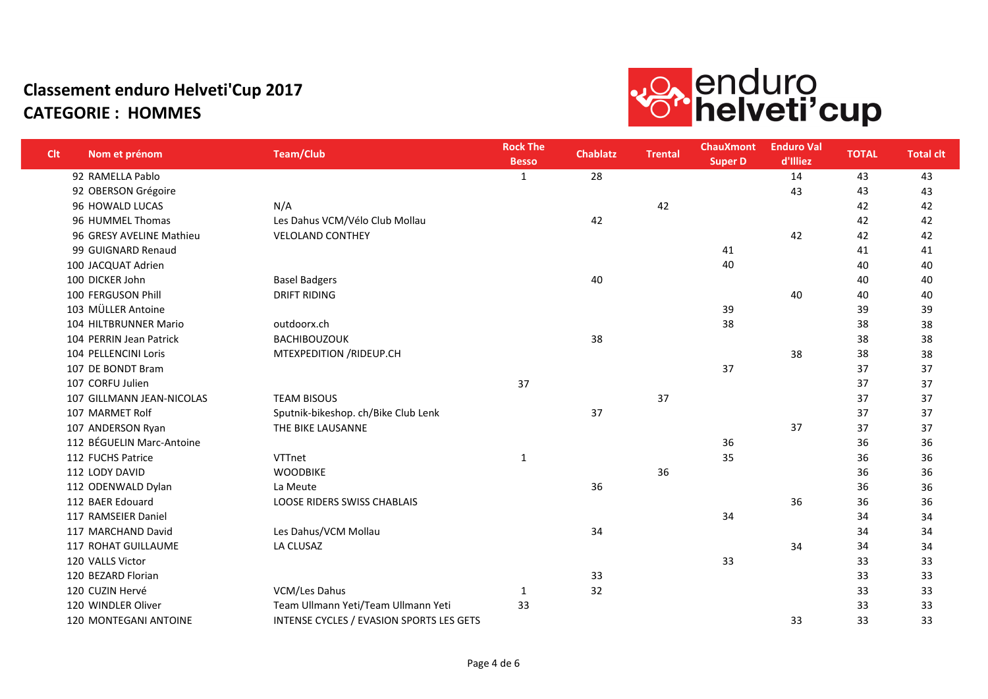

| <b>Clt</b> | Nom et prénom             | <b>Team/Club</b>                                | <b>Rock The</b><br><b>Besso</b> | <b>Chablatz</b> | <b>Trental</b> | <b>ChauXmont</b><br><b>Super D</b> | <b>Enduro Val</b><br>d'Illiez | <b>TOTAL</b> | <b>Total clt</b> |
|------------|---------------------------|-------------------------------------------------|---------------------------------|-----------------|----------------|------------------------------------|-------------------------------|--------------|------------------|
|            | 92 RAMELLA Pablo          |                                                 | $\mathbf{1}$                    | 28              |                |                                    | 14                            | 43           | 43               |
|            | 92 OBERSON Grégoire       |                                                 |                                 |                 |                |                                    | 43                            | 43           | 43               |
|            | 96 HOWALD LUCAS           | N/A                                             |                                 |                 | 42             |                                    |                               | 42           | 42               |
|            | 96 HUMMEL Thomas          | Les Dahus VCM/Vélo Club Mollau                  |                                 | 42              |                |                                    |                               | 42           | 42               |
|            | 96 GRESY AVELINE Mathieu  | <b>VELOLAND CONTHEY</b>                         |                                 |                 |                |                                    | 42                            | 42           | 42               |
|            | 99 GUIGNARD Renaud        |                                                 |                                 |                 |                | 41                                 |                               | 41           | 41               |
|            | 100 JACQUAT Adrien        |                                                 |                                 |                 |                | 40                                 |                               | 40           | 40               |
|            | 100 DICKER John           | <b>Basel Badgers</b>                            |                                 | 40              |                |                                    |                               | 40           | 40               |
|            | 100 FERGUSON Phill        | <b>DRIFT RIDING</b>                             |                                 |                 |                |                                    | 40                            | 40           | 40               |
|            | 103 MÜLLER Antoine        |                                                 |                                 |                 |                | 39                                 |                               | 39           | 39               |
|            | 104 HILTBRUNNER Mario     | outdoorx.ch                                     |                                 |                 |                | 38                                 |                               | 38           | 38               |
|            | 104 PERRIN Jean Patrick   | <b>BACHIBOUZOUK</b>                             |                                 | 38              |                |                                    |                               | 38           | 38               |
|            | 104 PELLENCINI Loris      | MTEXPEDITION / RIDEUP.CH                        |                                 |                 |                |                                    | 38                            | 38           | 38               |
|            | 107 DE BONDT Bram         |                                                 |                                 |                 |                | 37                                 |                               | 37           | 37               |
|            | 107 CORFU Julien          |                                                 | 37                              |                 |                |                                    |                               | 37           | 37               |
|            | 107 GILLMANN JEAN-NICOLAS | <b>TEAM BISOUS</b>                              |                                 |                 | 37             |                                    |                               | 37           | 37               |
|            | 107 MARMET Rolf           | Sputnik-bikeshop. ch/Bike Club Lenk             |                                 | 37              |                |                                    |                               | 37           | 37               |
|            | 107 ANDERSON Ryan         | THE BIKE LAUSANNE                               |                                 |                 |                |                                    | 37                            | 37           | 37               |
|            | 112 BÉGUELIN Marc-Antoine |                                                 |                                 |                 |                | 36                                 |                               | 36           | 36               |
|            | 112 FUCHS Patrice         | VTTnet                                          | $\mathbf{1}$                    |                 |                | 35                                 |                               | 36           | 36               |
|            | 112 LODY DAVID            | <b>WOODBIKE</b>                                 |                                 |                 | 36             |                                    |                               | 36           | 36               |
|            | 112 ODENWALD Dylan        | La Meute                                        |                                 | 36              |                |                                    |                               | 36           | 36               |
|            | 112 BAER Edouard          | LOOSE RIDERS SWISS CHABLAIS                     |                                 |                 |                |                                    | 36                            | 36           | 36               |
|            | 117 RAMSEIER Daniel       |                                                 |                                 |                 |                | 34                                 |                               | 34           | 34               |
|            | 117 MARCHAND David        | Les Dahus/VCM Mollau                            |                                 | 34              |                |                                    |                               | 34           | 34               |
|            | 117 ROHAT GUILLAUME       | LA CLUSAZ                                       |                                 |                 |                |                                    | 34                            | 34           | 34               |
|            | 120 VALLS Victor          |                                                 |                                 |                 |                | 33                                 |                               | 33           | 33               |
|            | 120 BEZARD Florian        |                                                 |                                 | 33              |                |                                    |                               | 33           | 33               |
|            | 120 CUZIN Hervé           | VCM/Les Dahus                                   | 1                               | 32              |                |                                    |                               | 33           | 33               |
|            | 120 WINDLER Oliver        | Team Ullmann Yeti/Team Ullmann Yeti             | 33                              |                 |                |                                    |                               | 33           | 33               |
|            | 120 MONTEGANI ANTOINE     | <b>INTENSE CYCLES / EVASION SPORTS LES GETS</b> |                                 |                 |                |                                    | 33                            | 33           | 33               |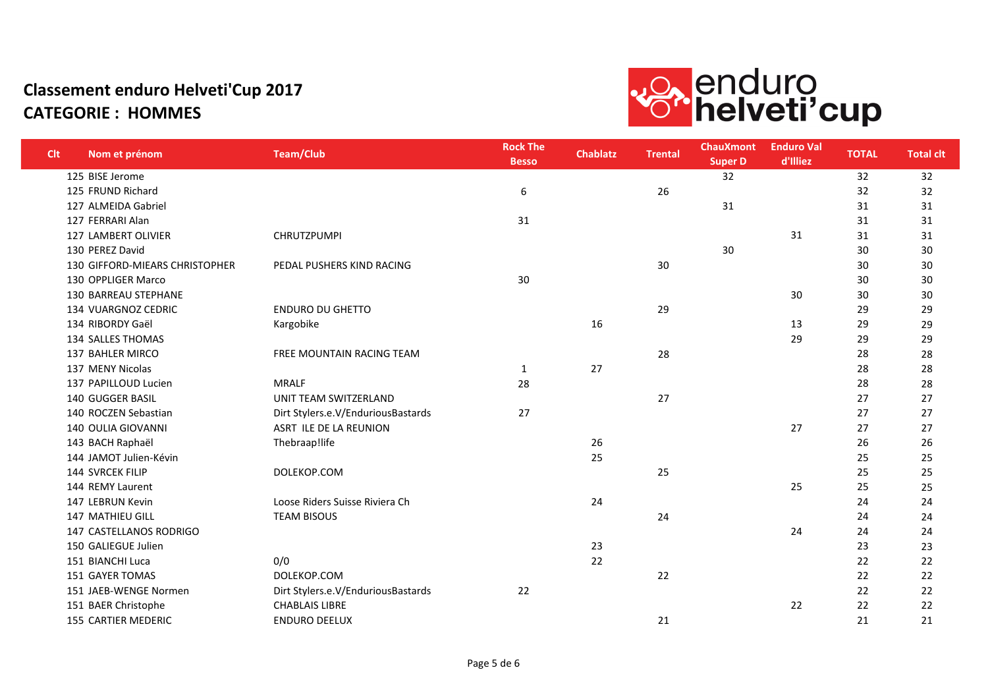

| <b>Clt</b> | Nom et prénom                  | <b>Team/Club</b>                   | <b>Rock The</b><br><b>Besso</b> | <b>Chablatz</b> | <b>Trental</b> | <b>ChauXmont</b><br><b>Super D</b> | <b>Enduro Val</b><br>d'Illiez | <b>TOTAL</b> | <b>Total clt</b> |
|------------|--------------------------------|------------------------------------|---------------------------------|-----------------|----------------|------------------------------------|-------------------------------|--------------|------------------|
|            | 125 BISE Jerome                |                                    |                                 |                 |                | 32                                 |                               | 32           | 32               |
|            | 125 FRUND Richard              |                                    | 6                               |                 | 26             |                                    |                               | 32           | 32               |
|            | 127 ALMEIDA Gabriel            |                                    |                                 |                 |                | 31                                 |                               | 31           | 31               |
|            | 127 FERRARI Alan               |                                    | 31                              |                 |                |                                    |                               | 31           | 31               |
|            | 127 LAMBERT OLIVIER            | <b>CHRUTZPUMPI</b>                 |                                 |                 |                |                                    | 31                            | 31           | 31               |
|            | 130 PEREZ David                |                                    |                                 |                 |                | 30                                 |                               | 30           | 30               |
|            | 130 GIFFORD-MIEARS CHRISTOPHER | PEDAL PUSHERS KIND RACING          |                                 |                 | 30             |                                    |                               | 30           | 30               |
|            | 130 OPPLIGER Marco             |                                    | 30                              |                 |                |                                    |                               | 30           | 30               |
|            | <b>130 BARREAU STEPHANE</b>    |                                    |                                 |                 |                |                                    | 30                            | 30           | 30               |
|            | 134 VUARGNOZ CEDRIC            | <b>ENDURO DU GHETTO</b>            |                                 |                 | 29             |                                    |                               | 29           | 29               |
|            | 134 RIBORDY Gaël               | Kargobike                          |                                 | 16              |                |                                    | 13                            | 29           | 29               |
|            | 134 SALLES THOMAS              |                                    |                                 |                 |                |                                    | 29                            | 29           | 29               |
|            | 137 BAHLER MIRCO               | FREE MOUNTAIN RACING TEAM          |                                 |                 | 28             |                                    |                               | 28           | 28               |
|            | 137 MENY Nicolas               |                                    | 1                               | 27              |                |                                    |                               | 28           | 28               |
|            | 137 PAPILLOUD Lucien           | <b>MRALF</b>                       | 28                              |                 |                |                                    |                               | 28           | 28               |
|            | <b>140 GUGGER BASIL</b>        | UNIT TEAM SWITZERLAND              |                                 |                 | 27             |                                    |                               | 27           | 27               |
|            | 140 ROCZEN Sebastian           | Dirt Stylers.e.V/EnduriousBastards | 27                              |                 |                |                                    |                               | 27           | 27               |
|            | <b>140 OULIA GIOVANNI</b>      | ASRT ILE DE LA REUNION             |                                 |                 |                |                                    | 27                            | 27           | 27               |
|            | 143 BACH Raphaël               | Thebraap!life                      |                                 | 26              |                |                                    |                               | 26           | 26               |
|            | 144 JAMOT Julien-Kévin         |                                    |                                 | 25              |                |                                    |                               | 25           | 25               |
|            | 144 SVRCEK FILIP               | DOLEKOP.COM                        |                                 |                 | 25             |                                    |                               | 25           | 25               |
|            | 144 REMY Laurent               |                                    |                                 |                 |                |                                    | 25                            | 25           | 25               |
|            | 147 LEBRUN Kevin               | Loose Riders Suisse Riviera Ch     |                                 | 24              |                |                                    |                               | 24           | 24               |
|            | <b>147 MATHIEU GILL</b>        | <b>TEAM BISOUS</b>                 |                                 |                 | 24             |                                    |                               | 24           | 24               |
|            | <b>147 CASTELLANOS RODRIGO</b> |                                    |                                 |                 |                |                                    | 24                            | 24           | 24               |
|            | 150 GALIEGUE Julien            |                                    |                                 | 23              |                |                                    |                               | 23           | 23               |
|            | 151 BIANCHI Luca               | 0/0                                |                                 | 22              |                |                                    |                               | 22           | 22               |
|            | 151 GAYER TOMAS                | DOLEKOP.COM                        |                                 |                 | 22             |                                    |                               | 22           | 22               |
|            | 151 JAEB-WENGE Normen          | Dirt Stylers.e.V/EnduriousBastards | 22                              |                 |                |                                    |                               | 22           | 22               |
|            | 151 BAER Christophe            | <b>CHABLAIS LIBRE</b>              |                                 |                 |                |                                    | 22                            | 22           | 22               |
|            | <b>155 CARTIER MEDERIC</b>     | <b>ENDURO DEELUX</b>               |                                 |                 | 21             |                                    |                               | 21           | 21               |